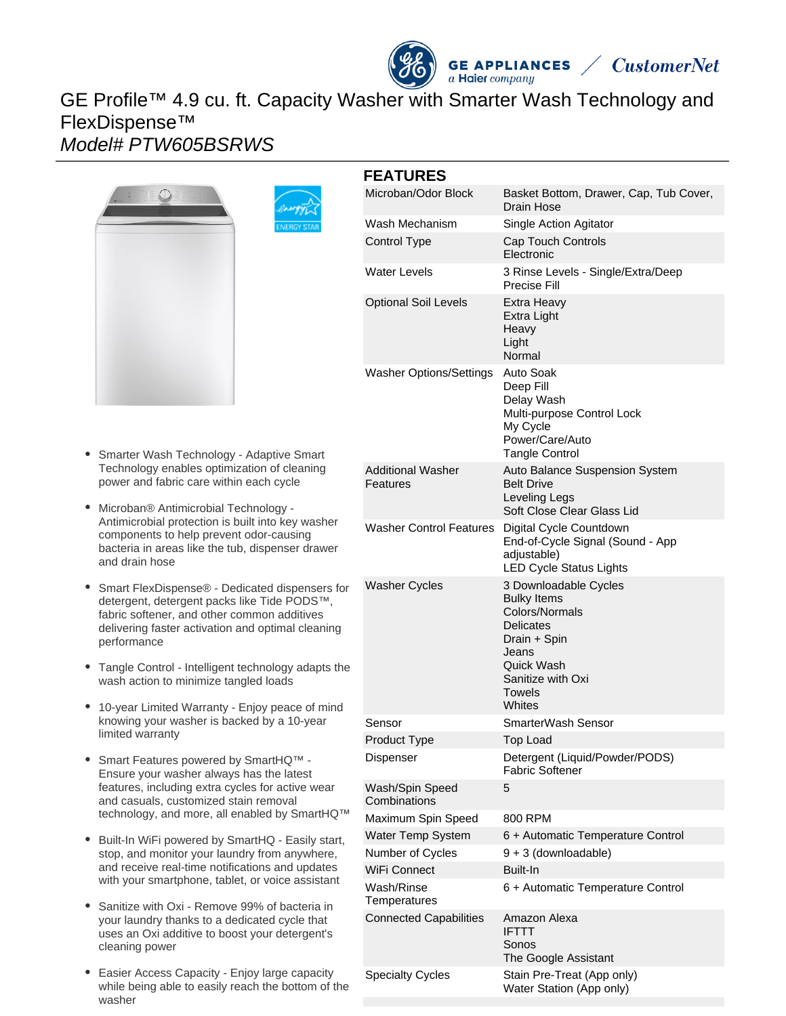# **GE APPLIANCES**<br>a Haier company GE Profile™ 4.9 cu. ft. Capacity Washer with Smarter Wash Technology and FlexDispense™ Model# PTW605BSRWS



- $\bullet$ Smarter Wash Technology - Adaptive Smart Technology enables optimization of cleaning power and fabric care within each cycle
- Microban® Antimicrobial Technology Antimicrobial protection is built into key washer components to help prevent odor-causing bacteria in areas like the tub, dispenser drawer and drain hose
- Smart FlexDispense® Dedicated dispensers for detergent, detergent packs like Tide PODS™, fabric softener, and other common additives delivering faster activation and optimal cleaning performance
- Tangle Control Intelligent technology adapts the wash action to minimize tangled loads
- 10-year Limited Warranty Enjoy peace of mind  $\bullet$ knowing your washer is backed by a 10-year limited warranty
- Smart Features powered by SmartHQ™ Ensure your washer always has the latest features, including extra cycles for active wear and casuals, customized stain removal technology, and more, all enabled by SmartHQ™
- Built-In WiFi powered by SmartHQ Easily start, stop, and monitor your laundry from anywhere, and receive real-time notifications and updates with your smartphone, tablet, or voice assistant
- Sanitize with Oxi Remove 99% of bacteria in your laundry thanks to a dedicated cycle that uses an Oxi additive to boost your detergent's cleaning power
- Easier Access Capacity Enjoy large capacity while being able to easily reach the bottom of the washer

| <b>FEATURES</b>                      |                                                                                                                                                            |
|--------------------------------------|------------------------------------------------------------------------------------------------------------------------------------------------------------|
| Microban/Odor Block                  | Basket Bottom, Drawer, Cap, Tub Cover,<br>Drain Hose                                                                                                       |
| Wash Mechanism                       | Single Action Agitator                                                                                                                                     |
| <b>Control Type</b>                  | Cap Touch Controls<br>Electronic                                                                                                                           |
| <b>Water Levels</b>                  | 3 Rinse Levels - Single/Extra/Deep<br>Precise Fill                                                                                                         |
| <b>Optional Soil Levels</b>          | Extra Heavy<br>Extra Light<br>Heavy<br>Light<br>Normal                                                                                                     |
| <b>Washer Options/Settings</b>       | Auto Soak<br>Deep Fill<br>Delay Wash<br>Multi-purpose Control Lock<br>My Cycle<br>Power/Care/Auto<br><b>Tangle Control</b>                                 |
| <b>Additional Washer</b><br>Features | <b>Auto Balance Suspension System</b><br><b>Belt Drive</b><br>Leveling Legs<br>Soft Close Clear Glass Lid                                                  |
| <b>Washer Control Features</b>       | Digital Cycle Countdown<br>End-of-Cycle Signal (Sound - App<br>adjustable)<br><b>LED Cycle Status Lights</b>                                               |
| <b>Washer Cycles</b>                 | 3 Downloadable Cycles<br><b>Bulky Items</b><br>Colors/Normals<br>Delicates<br>Drain + Spin<br>Jeans<br>Quick Wash<br>Sanitize with Oxi<br>Towels<br>Whites |
| Sensor                               | SmarterWash Sensor                                                                                                                                         |
| Product Type                         | <b>Top Load</b>                                                                                                                                            |
| Dispenser                            | Detergent (Liquid/Powder/PODS)<br><b>Fabric Softener</b>                                                                                                   |
| Wash/Spin Speed<br>Combinations      | 5                                                                                                                                                          |
| Maximum Spin Speed                   | 800 RPM                                                                                                                                                    |
| Water Temp System                    | 6 + Automatic Temperature Control                                                                                                                          |
| Number of Cycles                     | 9 + 3 (downloadable)                                                                                                                                       |
| WiFi Connect                         | Built-In                                                                                                                                                   |
| Wash/Rinse<br>Temperatures           | 6 + Automatic Temperature Control                                                                                                                          |
| <b>Connected Capabilities</b>        | Amazon Alexa<br>IFTTT<br>Sonos<br>The Google Assistant                                                                                                     |
| <b>Specialty Cycles</b>              | Stain Pre-Treat (App only)<br>Water Station (App only)                                                                                                     |

**CustomerNet**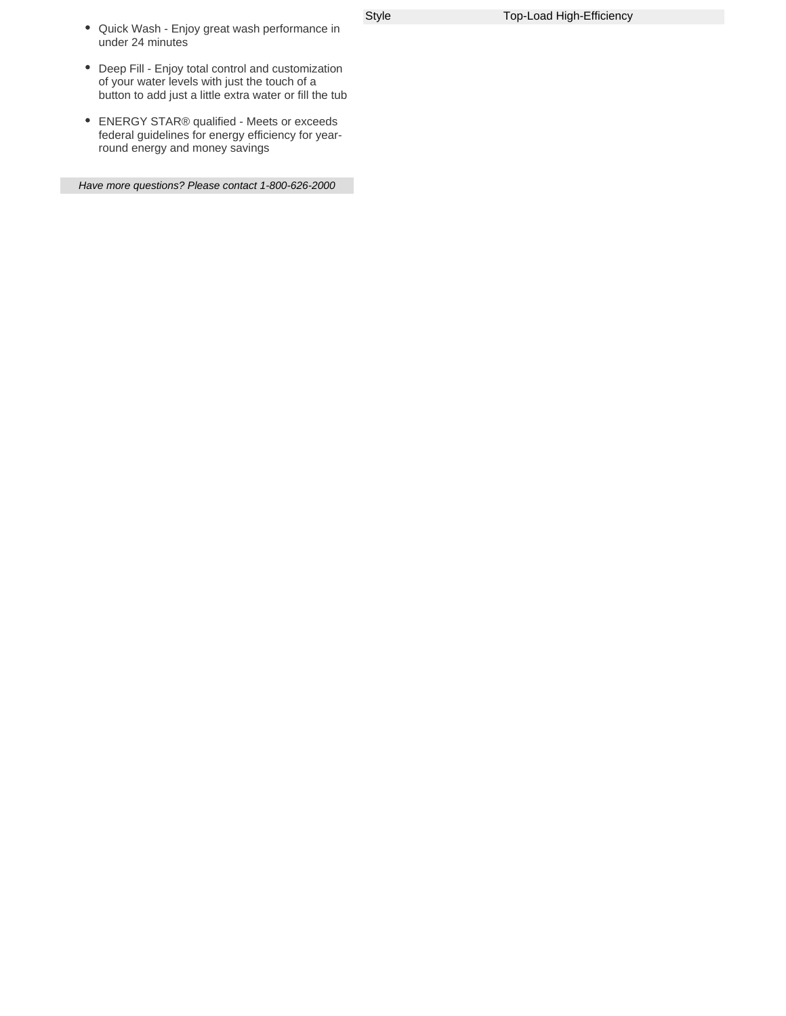- Quick Wash Enjoy great wash performance in under 24 minutes
- Deep Fill Enjoy total control and customization of your water levels with just the touch of a button to add just a little extra water or fill the tub
- ENERGY STAR® qualified Meets or exceeds federal guidelines for energy efficiency for yearround energy and money savings

Have more questions? Please contact 1-800-626-2000